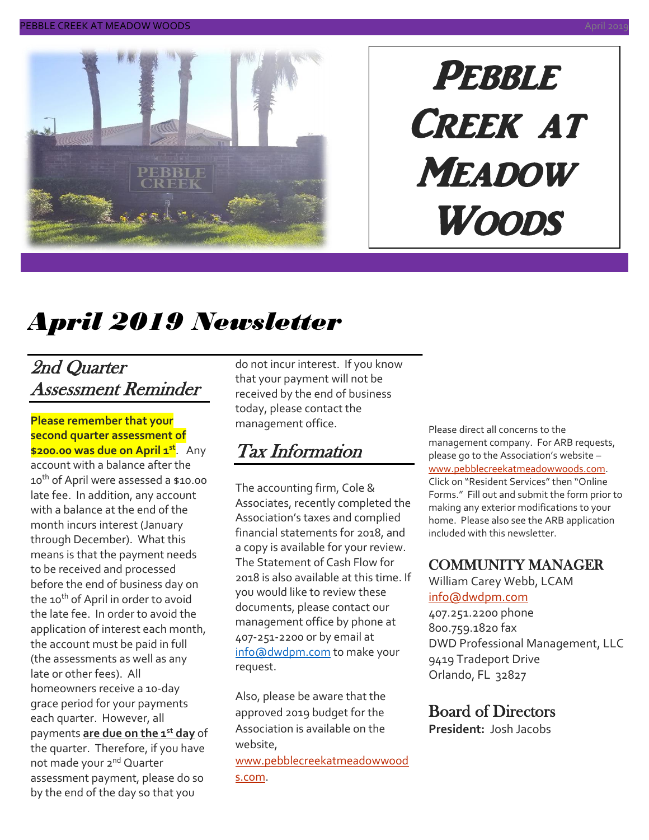

# PEBBLE Creek at **MEADOW Woods**

# *April 2019 Newsletter*

### 2nd Quarter Assessment Reminder

**Please remember that your second quarter assessment of \$200.00 was due on April 1st** . Any account with a balance after the 10<sup>th</sup> of April were assessed a \$10.00 late fee. In addition, any account with a balance at the end of the month incurs interest (January through December). What this means is that the payment needs to be received and processed before the end of business day on the 10<sup>th</sup> of April in order to avoid the late fee. In order to avoid the application of interest each month, the account must be paid in full (the assessments as well as any late or other fees). All homeowners receive a 10-day grace period for your payments each quarter. However, all payments **are due on the 1st day** of the quarter. Therefore, if you have not made your 2<sup>nd</sup> Quarter assessment payment, please do so by the end of the day so that you

do not incur interest. If you know that your payment will not be received by the end of business today, please contact the management office.

### Tax Information

The accounting firm, Cole & Associates, recently completed the Association's taxes and complied financial statements for 2018, and a copy is available for your review. The Statement of Cash Flow for 2018 is also available at this time. If you would like to review these documents, please contact our management office by phone at 407-251-2200 or by email at [info@dwdpm.com](mailto:info@dwdpm.com) to make your request.

Also, please be aware that the approved 2019 budget for the Association is available on the website,

[www.pebblecreekatmeadowwood](http://www.pebblecreekatmeadowwoods.com/)

[s.com.](http://www.pebblecreekatmeadowwoods.com/)

Please direct all concerns to the management company. For ARB requests, please go to the Association's website – [www.pebblecreekatmeadowwoods.com.](http://www.pebblecreekatmeadowwoods.com/) Click on "Resident Services" then "Online Forms." Fill out and submit the form prior to making any exterior modifications to your home. Please also see the ARB application included with this newsletter.

#### COMMUNITY MANAGER

William Carey Webb, LCAM [info@dwdpm.com](mailto:info@dwdpm.com) 

407.251.2200 phone 800.759.1820 fax DWD Professional Management, LLC 9419 Tradeport Drive Orlando, FL 32827

#### Board of Directors

**President:** Josh Jacobs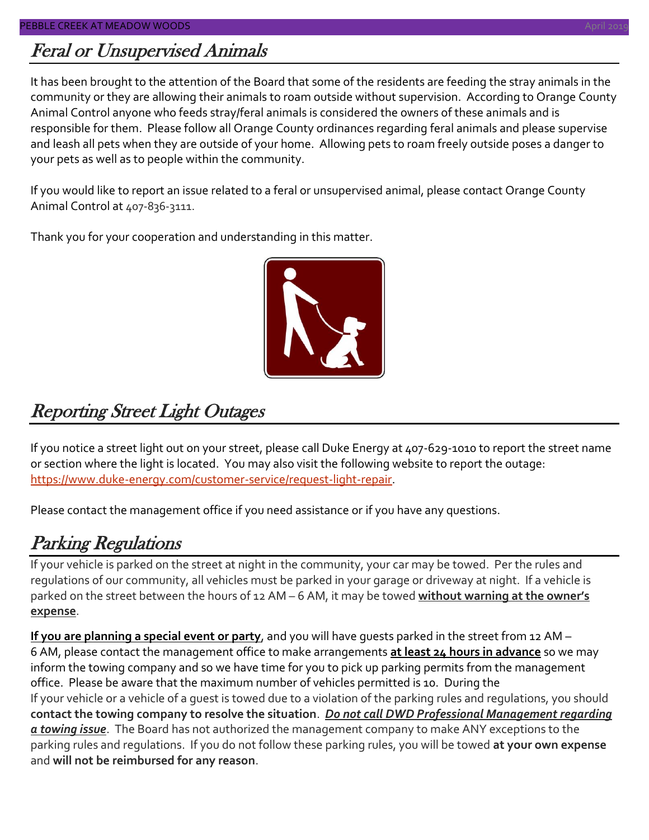### Feral or Unsupervised Animals

It has been brought to the attention of the Board that some of the residents are feeding the stray animals in the community or they are allowing their animals to roam outside without supervision. According to Orange County Animal Control anyone who feeds stray/feral animals is considered the owners of these animals and is responsible for them. Please follow all Orange County ordinances regarding feral animals and please supervise and leash all pets when they are outside of your home. Allowing pets to roam freely outside poses a danger to your pets as well as to people within the community.

If you would like to report an issue related to a feral or unsupervised animal, please contact Orange County Animal Control at 407-836-3111.

Thank you for your cooperation and understanding in this matter.



### Reporting Street Light Outages

If you notice a street light out on your street, please call Duke Energy at 407-629-1010 to report the street name or section where the light is located. You may also visit the following website to report the outage: [https://www.duke-energy.com/customer-service/request-light-repair.](https://www.duke-energy.com/customer-service/request-light-repair)

Please contact the management office if you need assistance or if you have any questions.

### Parking Regulations

If your vehicle is parked on the street at night in the community, your car may be towed. Per the rules and regulations of our community, all vehicles must be parked in your garage or driveway at night. If a vehicle is parked on the street between the hours of 12 AM – 6 AM, it may be towed **without warning at the owner's expense**.

**If you are planning a special event or party**, and you will have guests parked in the street from 12 AM – 6 AM, please contact the management office to make arrangements **at least 24 hours in advance** so we may inform the towing company and so we have time for you to pick up parking permits from the management office. Please be aware that the maximum number of vehicles permitted is 10. During the If your vehicle or a vehicle of a guest is towed due to a violation of the parking rules and regulations, you should **contact the towing company to resolve the situation**. *Do not call DWD Professional Management regarding a towing issue*. The Board has not authorized the management company to make ANY exceptions to the parking rules and regulations. If you do not follow these parking rules, you will be towed **at your own expense** and **will not be reimbursed for any reason**.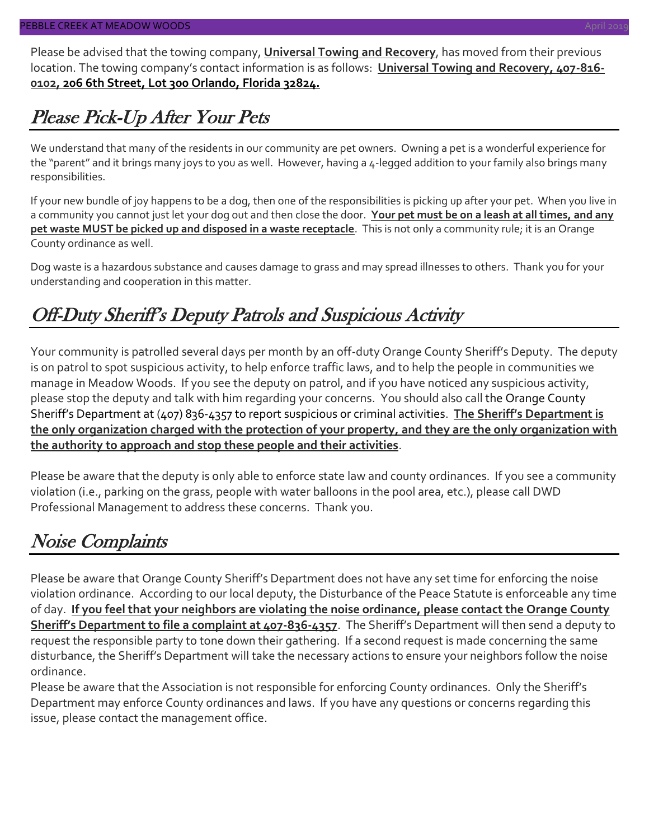Please be advised that the towing company, **Universal Towing and Recovery**, has moved from their previous location. The towing company's contact information is as follows: **Universal Towing and Recovery, 407-816- 0102, 206 6th Street, Lot 300 Orlando, Florida 32824.**

### Please Pick-Up After Your Pets

We understand that many of the residents in our community are pet owners. Owning a pet is a wonderful experience for the "parent" and it brings many joys to you as well. However, having a 4-legged addition to your family also brings many responsibilities.

If your new bundle of joy happens to be a dog, then one of the responsibilities is picking up after your pet. When you live in a community you cannot just let your dog out and then close the door. **Your pet must be on a leash at all times, and any pet waste MUST be picked up and disposed in a waste receptacle**. This is not only a community rule; it is an Orange County ordinance as well.

Dog waste is a hazardous substance and causes damage to grass and may spread illnesses to others. Thank you for your understanding and cooperation in this matter.

### Off-Duty Sheriff's Deputy Patrols and Suspicious Activity

Your community is patrolled several days per month by an off-duty Orange County Sheriff's Deputy. The deputy is on patrol to spot suspicious activity, to help enforce traffic laws, and to help the people in communities we manage in Meadow Woods. If you see the deputy on patrol, and if you have noticed any suspicious activity, please stop the deputy and talk with him regarding your concerns. You should also call the Orange County Sheriff's Department at (407) 836-4357 to report suspicious or criminal activities. **The Sheriff's Department is the only organization charged with the protection of your property, and they are the only organization with the authority to approach and stop these people and their activities**.

Please be aware that the deputy is only able to enforce state law and county ordinances. If you see a community violation (i.e., parking on the grass, people with water balloons in the pool area, etc.), please call DWD Professional Management to address these concerns. Thank you.

### Noise Complaints

Please be aware that Orange County Sheriff's Department does not have any set time for enforcing the noise violation ordinance. According to our local deputy, the Disturbance of the Peace Statute is enforceable any time of day. **If you feel that your neighbors are violating the noise ordinance, please contact the Orange County Sheriff's Department to file a complaint at 407-836-4357**. The Sheriff's Department will then send a deputy to request the responsible party to tone down their gathering. If a second request is made concerning the same disturbance, the Sheriff's Department will take the necessary actions to ensure your neighbors follow the noise ordinance.

Please be aware that the Association is not responsible for enforcing County ordinances. Only the Sheriff's Department may enforce County ordinances and laws. If you have any questions or concerns regarding this issue, please contact the management office.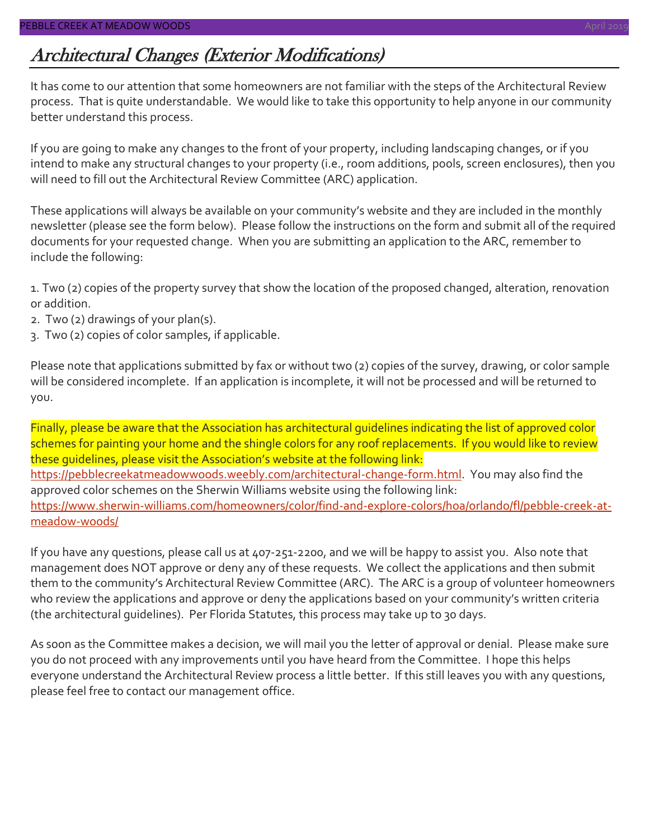### Architectural Changes (Exterior Modifications)

It has come to our attention that some homeowners are not familiar with the steps of the Architectural Review process. That is quite understandable. We would like to take this opportunity to help anyone in our community better understand this process.

If you are going to make any changes to the front of your property, including landscaping changes, or if you intend to make any structural changes to your property (i.e., room additions, pools, screen enclosures), then you will need to fill out the Architectural Review Committee (ARC) application.

These applications will always be available on your community's website and they are included in the monthly newsletter (please see the form below). Please follow the instructions on the form and submit all of the required documents for your requested change. When you are submitting an application to the ARC, remember to include the following:

1. Two (2) copies of the property survey that show the location of the proposed changed, alteration, renovation or addition.

- 2. Two (2) drawings of your plan(s).
- 3. Two (2) copies of color samples, if applicable.

Please note that applications submitted by fax or without two (2) copies of the survey, drawing, or color sample will be considered incomplete. If an application is incomplete, it will not be processed and will be returned to you.

Finally, please be aware that the Association has architectural guidelines indicating the list of approved color schemes for painting your home and the shingle colors for any roof replacements. If you would like to review these guidelines, please visit the Association's website at the following link: [https://pebblecreekatmeadowwoods.weebly.com/architectural-change-form.html.](https://pebblecreekatmeadowwoods.weebly.com/architectural-change-form.html) You may also find the approved color schemes on the Sherwin Williams website using the following link: [https://www.sherwin-williams.com/homeowners/color/find-and-explore-colors/hoa/orlando/fl/pebble-creek-at](https://www.sherwin-williams.com/homeowners/color/find-and-explore-colors/hoa/orlando/fl/pebble-creek-at-meadow-woods/)[meadow-woods/](https://www.sherwin-williams.com/homeowners/color/find-and-explore-colors/hoa/orlando/fl/pebble-creek-at-meadow-woods/)

If you have any questions, please call us at 407-251-2200, and we will be happy to assist you. Also note that management does NOT approve or deny any of these requests. We collect the applications and then submit them to the community's Architectural Review Committee (ARC). The ARC is a group of volunteer homeowners who review the applications and approve or deny the applications based on your community's written criteria (the architectural guidelines). Per Florida Statutes, this process may take up to 30 days.

As soon as the Committee makes a decision, we will mail you the letter of approval or denial. Please make sure you do not proceed with any improvements until you have heard from the Committee. I hope this helps everyone understand the Architectural Review process a little better. If this still leaves you with any questions, please feel free to contact our management office.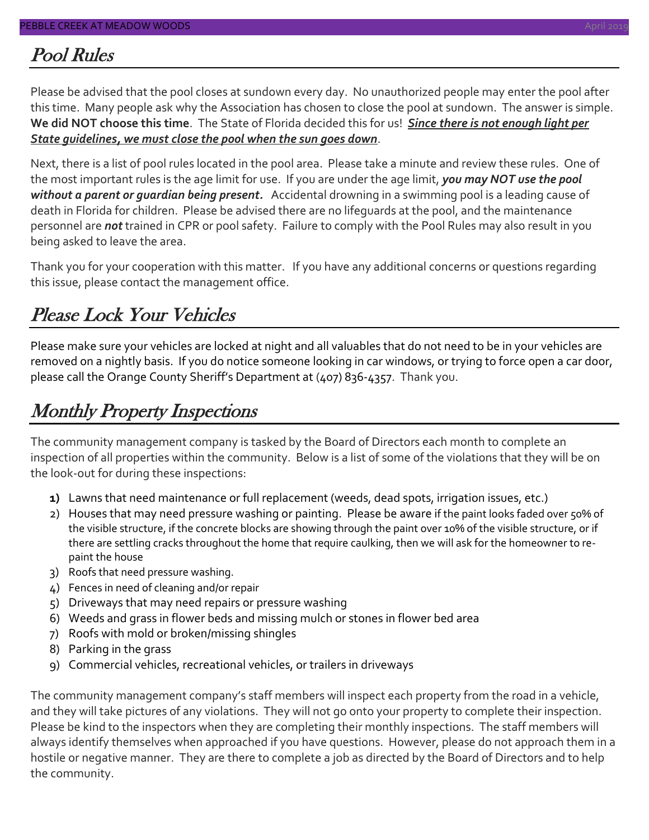#### Pool Rules

Please be advised that the pool closes at sundown every day. No unauthorized people may enter the pool after this time. Many people ask why the Association has chosen to close the pool at sundown. The answer is simple. **We did NOT choose this time**. The State of Florida decided this for us! *Since there is not enough light per State guidelines, we must close the pool when the sun goes down*.

Next, there is a list of pool rules located in the pool area. Please take a minute and review these rules. One of the most important rules is the age limit for use. If you are under the age limit, *you may NOT use the pool without a parent or guardian being present.* Accidental drowning in a swimming pool is a leading cause of death in Florida for children. Please be advised there are no lifeguards at the pool, and the maintenance personnel are *not* trained in CPR or pool safety. Failure to comply with the Pool Rules may also result in you being asked to leave the area.

Thank you for your cooperation with this matter. If you have any additional concerns or questions regarding this issue, please contact the management office.

### Please Lock Your Vehicles

Please make sure your vehicles are locked at night and all valuables that do not need to be in your vehicles are removed on a nightly basis. If you do notice someone looking in car windows, or trying to force open a car door, please call the Orange County Sheriff's Department at (407) 836-4357. Thank you.

#### Monthly Property Inspections

The community management company is tasked by the Board of Directors each month to complete an inspection of all properties within the community. Below is a list of some of the violations that they will be on the look-out for during these inspections:

- **1)** Lawns that need maintenance or full replacement (weeds, dead spots, irrigation issues, etc.)
- 2) Houses that may need pressure washing or painting. Please be aware if the paint looks faded over 50% of the visible structure, if the concrete blocks are showing through the paint over 10% of the visible structure, or if there are settling cracks throughout the home that require caulking, then we will ask for the homeowner to repaint the house
- 3) Roofs that need pressure washing.
- 4) Fences in need of cleaning and/or repair
- 5) Driveways that may need repairs or pressure washing
- 6) Weeds and grass in flower beds and missing mulch or stones in flower bed area
- 7) Roofs with mold or broken/missing shingles
- 8) Parking in the grass
- 9) Commercial vehicles, recreational vehicles, or trailers in driveways

The community management company's staff members will inspect each property from the road in a vehicle, and they will take pictures of any violations. They will not go onto your property to complete their inspection. Please be kind to the inspectors when they are completing their monthly inspections. The staff members will always identify themselves when approached if you have questions. However, please do not approach them in a hostile or negative manner. They are there to complete a job as directed by the Board of Directors and to help the community.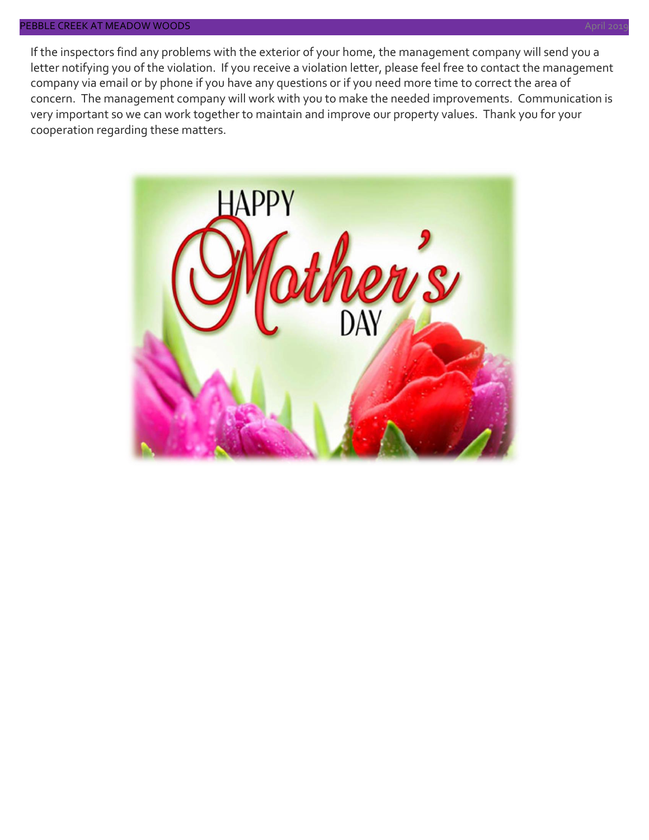If the inspectors find any problems with the exterior of your home, the management company will send you a letter notifying you of the violation. If you receive a violation letter, please feel free to contact the management company via email or by phone if you have any questions or if you need more time to correct the area of concern. The management company will work with you to make the needed improvements. Communication is very important so we can work together to maintain and improve our property values. Thank you for your cooperation regarding these matters.

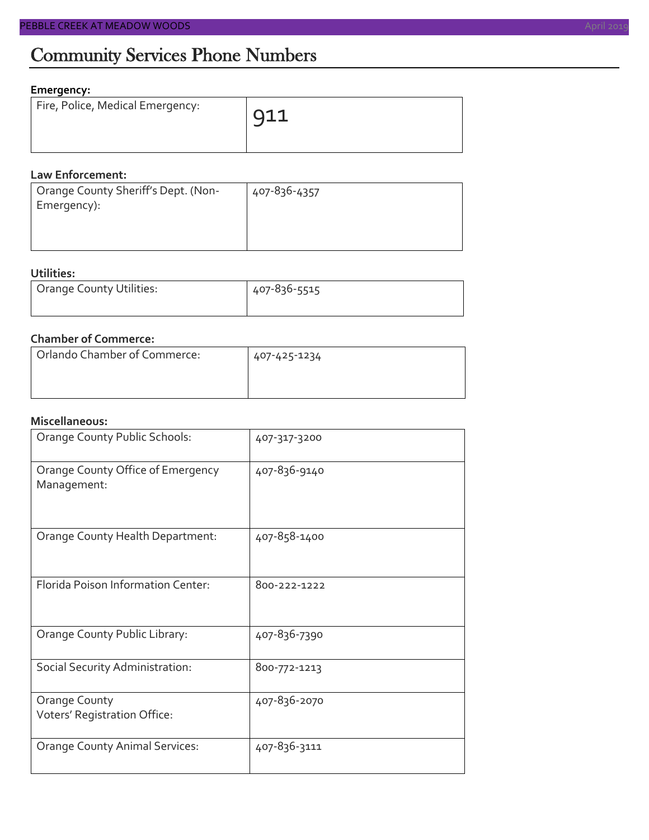### Community Services Phone Numbers

#### **Emergency:**

| Fire, Police, Medical Emergency: | $\overline{911}$ |
|----------------------------------|------------------|
|                                  |                  |

#### **Law Enforcement:**

| Orange County Sheriff's Dept. (Non- | 407-836-4357 |
|-------------------------------------|--------------|
| Emergency):                         |              |
|                                     |              |
|                                     |              |

#### **Utilities:**

| <b>Orange County Utilities:</b> | 407-836-5515 |  |  |
|---------------------------------|--------------|--|--|
|                                 |              |  |  |

#### **Chamber of Commerce:**

| Orlando Chamber of Commerce: | 407-425-1234 |
|------------------------------|--------------|
|                              |              |

#### **Miscellaneous:**

| Orange County Public Schools:                    | 407-317-3200 |
|--------------------------------------------------|--------------|
| Orange County Office of Emergency<br>Management: | 407-836-9140 |
| Orange County Health Department:                 | 407-858-1400 |
| Florida Poison Information Center:               | 800-222-1222 |
| Orange County Public Library:                    | 407-836-7390 |
| Social Security Administration:                  | 800-772-1213 |
| Orange County<br>Voters' Registration Office:    | 407-836-2070 |
| <b>Orange County Animal Services:</b>            | 407-836-3111 |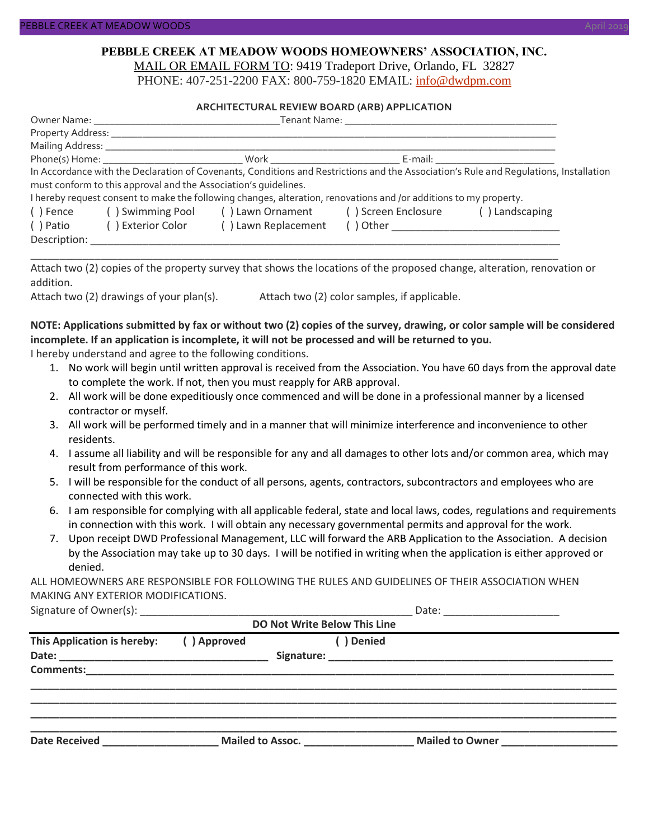#### **PEBBLE CREEK AT MEADOW WOODS HOMEOWNERS' ASSOCIATION, INC.** MAIL OR EMAIL FORM TO: 9419 Tradeport Drive, Orlando, FL 32827

PHONE: 407-251-2200 FAX: 800-759-1820 EMAIL: [info@dwdpm.com](mailto:info@dwdpm.com)

#### **ARCHITECTURAL REVIEW BOARD (ARB) APPLICATION**

|              | Tenant Name: The contract of the contract of the contract of the contract of the contract of the contract of the contract of the contract of the contract of the contract of the contract of the contract of the contract of t |                                                                                                                   |                                        |                                                                                                                                       |  |
|--------------|--------------------------------------------------------------------------------------------------------------------------------------------------------------------------------------------------------------------------------|-------------------------------------------------------------------------------------------------------------------|----------------------------------------|---------------------------------------------------------------------------------------------------------------------------------------|--|
|              |                                                                                                                                                                                                                                |                                                                                                                   |                                        |                                                                                                                                       |  |
|              | Mailing Address: _______________                                                                                                                                                                                               |                                                                                                                   |                                        |                                                                                                                                       |  |
|              |                                                                                                                                                                                                                                |                                                                                                                   | _ E-mail: ____________________________ |                                                                                                                                       |  |
|              |                                                                                                                                                                                                                                |                                                                                                                   |                                        | In Accordance with the Declaration of Covenants, Conditions and Restrictions and the Association's Rule and Requlations, Installation |  |
|              | must conform to this approval and the Association's quidelines.                                                                                                                                                                |                                                                                                                   |                                        |                                                                                                                                       |  |
|              |                                                                                                                                                                                                                                | I hereby request consent to make the following changes, alteration, renovations and /or additions to my property. |                                        |                                                                                                                                       |  |
| () Fence     | () Swimming Pool () Lawn Ornament () Screen Enclosure                                                                                                                                                                          |                                                                                                                   | () Landscaping                         |                                                                                                                                       |  |
| () Patio     | () Exterior Color                                                                                                                                                                                                              | () Lawn Replacement                                                                                               |                                        |                                                                                                                                       |  |
| Description: |                                                                                                                                                                                                                                |                                                                                                                   |                                        |                                                                                                                                       |  |

Attach two (2) copies of the property survey that shows the locations of the proposed change, alteration, renovation or addition.

\_\_\_\_\_\_\_\_\_\_\_\_\_\_\_\_\_\_\_\_\_\_\_\_\_\_\_\_\_\_\_\_\_\_\_\_\_\_\_\_\_\_\_\_\_\_\_\_\_\_\_\_\_\_\_\_\_\_\_\_\_\_\_\_\_\_\_\_\_\_\_\_\_\_\_\_\_\_\_\_\_\_\_\_\_\_\_\_\_\_\_

Attach two (2) drawings of your plan(s). Attach two (2) color samples, if applicable.

#### **NOTE: Applications submitted by fax or without two (2) copies of the survey, drawing, or color sample will be considered incomplete. If an application is incomplete, it will not be processed and will be returned to you.**

I hereby understand and agree to the following conditions.

- 1. No work will begin until written approval is received from the Association. You have 60 days from the approval date to complete the work. If not, then you must reapply for ARB approval.
- 2. All work will be done expeditiously once commenced and will be done in a professional manner by a licensed contractor or myself.
- 3. All work will be performed timely and in a manner that will minimize interference and inconvenience to other residents.
- 4. I assume all liability and will be responsible for any and all damages to other lots and/or common area, which may result from performance of this work.
- 5. I will be responsible for the conduct of all persons, agents, contractors, subcontractors and employees who are connected with this work.
- 6. I am responsible for complying with all applicable federal, state and local laws, codes, regulations and requirements in connection with this work. I will obtain any necessary governmental permits and approval for the work.
- 7. Upon receipt DWD Professional Management, LLC will forward the ARB Application to the Association. A decision by the Association may take up to 30 days. I will be notified in writing when the application is either approved or denied.

ALL HOMEOWNERS ARE RESPONSIBLE FOR FOLLOWING THE RULES AND GUIDELINES OF THEIR ASSOCIATION WHEN MAKING ANY EXTERIOR MODIFICATIONS.

| Signature of C<br>: ()wner(s) |  |
|-------------------------------|--|
|-------------------------------|--|

| <b>DO Not Write Below This Line</b>                                        |             |                  |                 |  |  |
|----------------------------------------------------------------------------|-------------|------------------|-----------------|--|--|
| This Application is hereby:                                                | () Approved | ( ) Denied       |                 |  |  |
|                                                                            |             |                  |                 |  |  |
|                                                                            |             |                  |                 |  |  |
|                                                                            |             |                  |                 |  |  |
|                                                                            |             |                  |                 |  |  |
| <b>Date Received</b><br><u> 1989 - John Stein, Amerikaansk politiker (</u> |             | Mailed to Assoc. | Mailed to Owner |  |  |